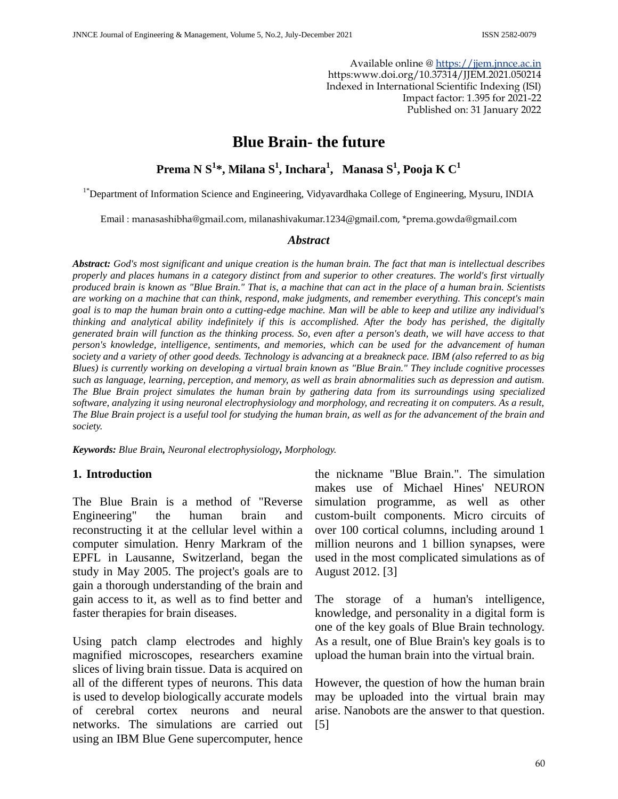Available online @ [https://jjem.jnnce.ac.in](https://jjem.jnnce.ac.in/) https:www.doi.org/10.37314/JJEM.2021.050214 Indexed in International Scientific Indexing (ISI) Impact factor: 1.395 for 2021-22 Published on: 31 January 2022

# **Blue Brain- the future**

## **Prema N S<sup>1</sup> \*, Milana S<sup>1</sup> , Inchara<sup>1</sup> , Manasa S<sup>1</sup> , Pooja K C<sup>1</sup>**

<sup>1\*</sup>Department of Information Science and Engineering, Vidyavardhaka College of Engineering, Mysuru, INDIA

[Email](mailto:Email) : manasashibha@gmail.com, [milanashivakumar.1234@gmail.com](mailto:milanashivakumar.1234@gmail.com), \*prema.gowda@gmail.com

#### *Abstract*

*Abstract: God's most significant and unique creation is the human brain. The fact that man is intellectual describes properly and places humans in a category distinct from and superior to other creatures. The world's first virtually produced brain is known as "Blue Brain." That is, a machine that can act in the place of a human brain. Scientists are working on a machine that can think, respond, make judgments, and remember everything. This concept's main goal is to map the human brain onto a cutting-edge machine. Man will be able to keep and utilize any individual's thinking and analytical ability indefinitely if this is accomplished. After the body has perished, the digitally generated brain will function as the thinking process. So, even after a person's death, we will have access to that person's knowledge, intelligence, sentiments, and memories, which can be used for the advancement of human society and a variety of other good deeds. Technology is advancing at a breakneck pace. IBM (also referred to as big Blues) is currently working on developing a virtual brain known as "Blue Brain." They include cognitive processes such as language, learning, perception, and memory, as well as brain abnormalities such as depression and autism. The Blue Brain project simulates the human brain by gathering data from its surroundings using specialized software, analyzing it using neuronal electrophysiology and morphology, and recreating it on computers. As a result, The Blue Brain project is a useful tool for studying the human brain, as well as for the advancement of the brain and society.*

*Keywords: Blue Brain, Neuronal electrophysiology, Morphology.*

#### **1. Introduction**

The Blue Brain is a method of "Reverse Engineering" the human brain and reconstructing it at the cellular level within a computer simulation. Henry Markram of the EPFL in Lausanne, Switzerland, began the study in May 2005. The project's goals are to gain a thorough understanding of the brain and gain access to it, as well as to find better and faster therapies for brain diseases.

Using patch clamp electrodes and highly magnified microscopes, researchers examine slices of living brain tissue. Data is acquired on all of the different types of neurons. This data is used to develop biologically accurate models of cerebral cortex neurons and neural networks. The simulations are carried out using an IBM Blue Gene supercomputer, hence

the nickname "Blue Brain.". The simulation makes use of Michael Hines' NEURON simulation programme, as well as other custom-built components. Micro circuits of over 100 cortical columns, including around 1 million neurons and 1 billion synapses, were used in the most complicated simulations as of August 2012. [3]

The storage of a human's intelligence, knowledge, and personality in a digital form is one of the key goals of Blue Brain technology. As a result, one of Blue Brain's key goals is to upload the human brain into the virtual brain.

However, the question of how the human brain may be uploaded into the virtual brain may arise. Nanobots are the answer to that question. [5]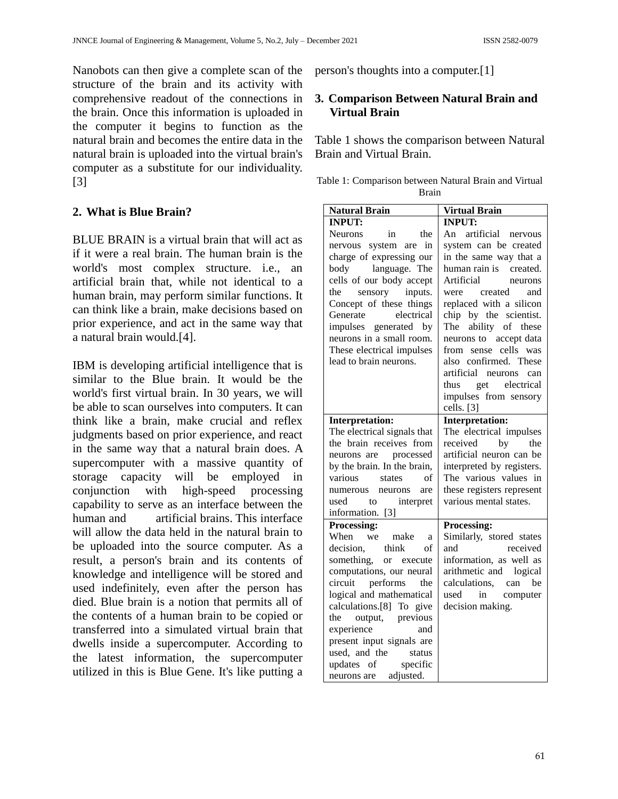Nanobots can then give a complete scan of the structure of the brain and its activity with comprehensive readout of the connections in the brain. Once this information is uploaded in the computer it begins to function as the natural brain and becomes the entire data in the natural brain is uploaded into the virtual brain's computer as a substitute for our individuality. [3]

## **2. What is Blue Brain?**

BLUE BRAIN is a virtual brain that will act as if it were a real brain. The human brain is the world's most complex structure. i.e., an artificial brain that, while not identical to a human brain, may perform similar functions. It can think like a brain, make decisions based on prior experience, and act in the same way that a natural brain would.[4].

IBM is developing artificial intelligence that is similar to the Blue brain. It would be the world's first virtual brain. In 30 years, we will be able to scan ourselves into computers. It can think like a brain, make crucial and reflex judgments based on prior experience, and react in the same way that a natural brain does. A supercomputer with a massive quantity of storage capacity will be employed in conjunction with high-speed processing capability to serve as an interface between the human and artificial brains. This interface will allow the data held in the natural brain to be uploaded into the source computer. As a result, a person's brain and its contents of knowledge and intelligence will be stored and used indefinitely, even after the person has died. Blue brain is a notion that permits all of the contents of a human brain to be copied or transferred into a simulated virtual brain that dwells inside a supercomputer. According to the latest information, the supercomputer utilized in this is Blue Gene. It's like putting a

person's thoughts into a computer.[1]

### **3. Comparison Between Natural Brain and Virtual Brain**

Table 1 shows the comparison between Natural Brain and Virtual Brain.

| Table 1: Comparison between Natural Brain and Virtual |  |  |
|-------------------------------------------------------|--|--|
| <b>Brain</b>                                          |  |  |

| <b>Natural Brain</b>            | <b>Virtual Brain</b>      |
|---------------------------------|---------------------------|
| <b>INPUT:</b>                   | <b>INPUT:</b>             |
| <b>Neurons</b><br>in<br>the     | An artificial nervous     |
| nervous system are in           | system can be created     |
| charge of expressing our        | in the same way that a    |
| body language. The              | human rain is created.    |
| cells of our body accept        | Artificial<br>neurons     |
| the<br>sensory inputs.          | created<br>and<br>were    |
| Concept of these things         | replaced with a silicon   |
| electrical<br>Generate          | chip by the scientist.    |
| impulses generated by           | ability of these<br>The   |
| neurons in a small room.        | neurons to accept data    |
| These electrical impulses       | from sense cells was      |
| lead to brain neurons.          | also confirmed. These     |
|                                 | artificial neurons<br>can |
|                                 | thus<br>electrical<br>get |
|                                 | impulses from sensory     |
|                                 | cells. [3]                |
| <b>Interpretation:</b>          | <b>Interpretation:</b>    |
| The electrical signals that     | The electrical impulses   |
| the brain receives from         | received<br>by<br>the     |
| neurons are processed           | artificial neuron can be  |
| by the brain. In the brain,     | interpreted by registers. |
| of<br>various<br>states         | The various values in     |
| numerous<br>neurons<br>are      | these registers represent |
| interpret<br>used<br>to         | various mental states.    |
| information. [3]                |                           |
| Processing:                     | Processing:               |
| make<br>When we<br><sub>a</sub> | Similarly, stored states  |
| think<br>decision.<br>of        | and<br>received           |
| something, or execute           | information, as well as   |
| computations, our neural        | arithmetic and logical    |
| circuit<br>performs<br>the      | calculations, can<br>be   |
| logical and mathematical        | used<br>in computer       |
| calculations.[8] To give        | decision making.          |
| the<br>output, previous         |                           |
| experience<br>and               |                           |
| present input signals are       |                           |
| used, and the<br>status         |                           |
| specific<br>updates of          |                           |
| neurons are adjusted.           |                           |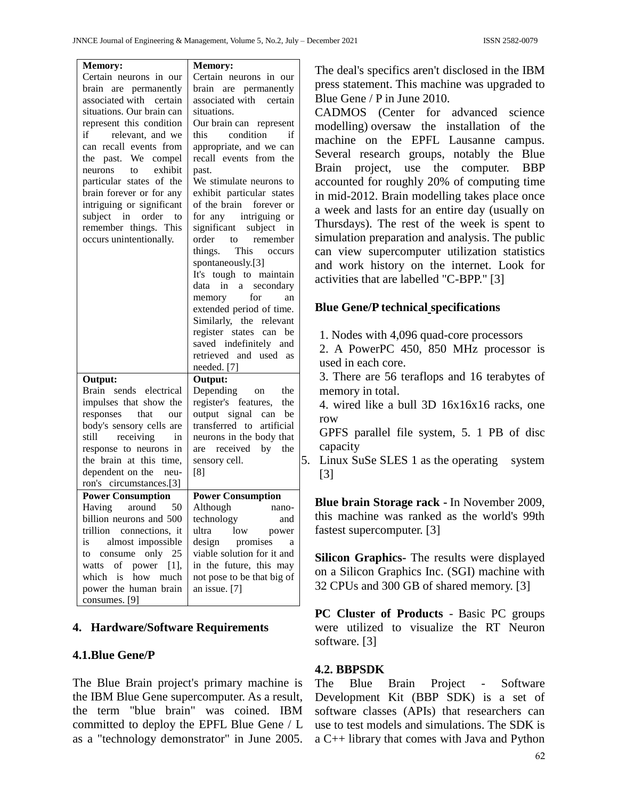| <b>Memory:</b>                                | <b>Memory:</b>                      |    |
|-----------------------------------------------|-------------------------------------|----|
| Certain neurons in our                        | Certain neurons in our              |    |
| brain are permanently                         | brain are permanently               |    |
| associated with certain                       | associated with certain             |    |
| situations. Our brain can                     | situations.                         |    |
| represent this condition                      | Our brain can represent             |    |
| if relevant, and we                           | condition<br>this<br>if             |    |
| can recall events from                        | appropriate, and we can             |    |
| the past. We compel                           | recall events from the              |    |
| to exhibit<br>neurons                         |                                     |    |
| particular states of the                      | past.<br>We stimulate neurons to    |    |
|                                               | exhibit particular states           |    |
| brain forever or for any                      | of the brain forever or             |    |
| intriguing or significant<br>subject in order |                                     |    |
| to                                            | for any intriguing or               |    |
| remember things. This                         | significant subject<br>in           |    |
| occurs unintentionally.                       | order to remember                   |    |
|                                               | This occurs<br>things.              |    |
|                                               | spontaneously.[3]                   |    |
|                                               | It's tough to maintain<br>data in a |    |
|                                               | secondary                           |    |
|                                               | for<br>memory<br>an                 |    |
|                                               | extended period of time.            |    |
|                                               | Similarly, the relevant             |    |
|                                               | register states can be              |    |
|                                               | saved indefinitely and              |    |
|                                               | retrieved and used as               |    |
|                                               | needed. [7]                         |    |
| Output:                                       | Output:                             |    |
| Brain sends electrical                        | Depending on<br>the                 |    |
| impulses that show the                        | register's features,<br>the         |    |
| responses that<br>our                         | output signal<br>can be             |    |
| body's sensory cells are                      | transferred to<br>artificial        |    |
| receiving<br>still<br>in                      | neurons in the body that            |    |
| response to neurons in                        | are received by the                 |    |
| the brain at this time,                       | sensory cell.                       | 5. |
| dependent on the neu-                         | [8]                                 |    |
| ron's circumstances.[3]                       |                                     |    |
| <b>Power Consumption</b>                      | <b>Power Consumption</b>            |    |
| Having around 50                              | Although nano-                      |    |
| billion neurons and 500                       | technology<br>and                   |    |
| trillion<br>connections, it                   | ultra<br>low<br>power               |    |
| almost impossible<br>is.                      | design promises<br>a a              |    |
| to consume only 25                            | viable solution for it and          |    |
| watts of<br>power<br>$[1]$ ,                  | in the future, this may             |    |
| which is<br>how<br>much                       | not pose to be that big of          |    |
| power the human brain                         | an issue. [7]                       |    |
| consumes. [9]                                 |                                     |    |

#### **4. Hardware/Software Requirements**

#### **4.1.Blue Gene/P**

The Blue Brain project's primary machine is the IBM Blue Gene supercomputer. As a result, the term "blue brain" was coined. IBM committed to deploy the EPFL Blue Gene / L as a "technology demonstrator" in June 2005. The deal's specifics aren't disclosed in the IBM press statement. This machine was upgraded to Blue Gene / P in June 2010.

CADMOS (Center for advanced science modelling) oversaw the installation of the machine on the EPFL Lausanne campus. Several research groups, notably the Blue Brain project, use the computer. BBP accounted for roughly 20% of computing time in mid-2012. Brain modelling takes place once a week and lasts for an entire day (usually on Thursdays). The rest of the week is spent to simulation preparation and analysis. The public can view supercomputer utilization statistics and work history on the internet. Look for activities that are labelled "C-BPP." [3]

#### **Blue Gene/P technical specifications**

1. Nodes with 4,096 quad-core processors

2. A PowerPC 450, 850 MHz processor is used in each core.

3. There are 56 teraflops and 16 terabytes of memory in total.

4. wired like a bull 3D 16x16x16 racks, one row

GPFS parallel file system, 5. 1 PB of disc capacity

Linux SuSe SLES 1 as the operating system [3]

**Blue brain Storage rack -** In November 2009, this machine was ranked as the world's 99th fastest supercomputer. [3]

**Silicon Graphics-** The results were displayed on a Silicon Graphics Inc. (SGI) machine with 32 CPUs and 300 GB of shared memory. [3]

**PC Cluster of Products** - Basic PC groups were utilized to visualize the RT Neuron software. [3]

#### **4.2. BBPSDK**

The Blue Brain Project - Software Development Kit (BBP SDK) is a set of software classes (APIs) that researchers can use to test models and simulations. The SDK is a C++ library that comes with Java and Python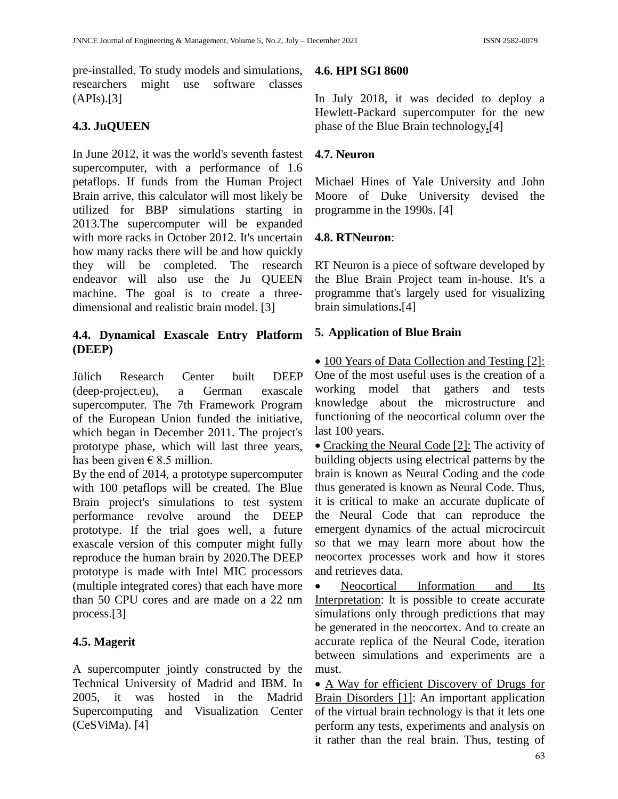pre-installed. To study models and simulations, researchers might use software classes (APIs).[3]

## **4.3. JuQUEEN**

In June 2012, it was the world's seventh fastest supercomputer, with a performance of 1.6 petaflops. If funds from the Human Project Brain arrive, this calculator will most likely be utilized for BBP simulations starting in 2013.The supercomputer will be expanded with more racks in October 2012. It's uncertain how many racks there will be and how quickly they will be completed. The research endeavor will also use the Ju QUEEN machine. The goal is to create a threedimensional and realistic brain model. [3]

## **4.4. Dynamical Exascale Entry Platform (DEEP)**

Jülich Research Center built DEEP (deep-project.eu), a German exascale supercomputer. The 7th Framework Program of the European Union funded the initiative, which began in December 2011. The project's prototype phase, which will last three years, has been given  $\epsilon$  8.5 million.

By the end of 2014, a prototype supercomputer with 100 petaflops will be created. The Blue Brain project's simulations to test system performance revolve around the DEEP prototype. If the trial goes well, a future exascale version of this computer might fully reproduce the human brain by 2020.The DEEP prototype is made with Intel MIC processors (multiple integrated cores) that each have more than 50 CPU cores and are made on a 22 nm process.[3]

## **4.5. Magerit**

A supercomputer jointly constructed by the Technical University of Madrid and IBM. In 2005, it was hosted in the Madrid Supercomputing and Visualization Center (CeSViMa). [4]

### **4.6. HPI SGI 8600**

In July 2018, it was decided to deploy a Hewlett-Packard supercomputer for the new phase of the Blue Brain technology**.**[4]

### **4.7. Neuron**

Michael Hines of Yale University and John Moore of Duke University devised the programme in the 1990s. [4]

## **4.8. RTNeuron**:

RT Neuron is a piece of software developed by the Blue Brain Project team in-house. It's a programme that's largely used for visualizing brain simulations**.**[4]

## **5. Application of Blue Brain**

• 100 Years of Data Collection and Testing [2]: One of the most useful uses is the creation of a working model that gathers and tests knowledge about the microstructure and functioning of the neocortical column over the last 100 years.

• Cracking the Neural Code [2]: The activity of building objects using electrical patterns by the brain is known as Neural Coding and the code thus generated is known as Neural Code. Thus, it is critical to make an accurate duplicate of the Neural Code that can reproduce the emergent dynamics of the actual microcircuit so that we may learn more about how the neocortex processes work and how it stores and retrieves data.

 Neocortical Information and Its Interpretation: It is possible to create accurate simulations only through predictions that may be generated in the neocortex. And to create an accurate replica of the Neural Code, iteration between simulations and experiments are a must.

 A Way for efficient Discovery of Drugs for Brain Disorders [1]: An important application of the virtual brain technology is that it lets one perform any tests, experiments and analysis on it rather than the real brain. Thus, testing of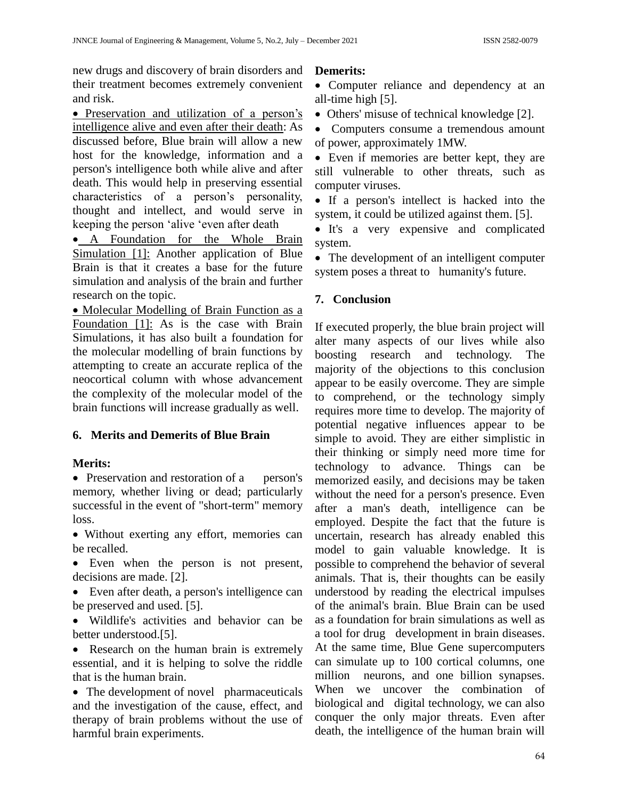new drugs and discovery of brain disorders and their treatment becomes extremely convenient and risk.

 Preservation and utilization of a person's intelligence alive and even after their death: As discussed before, Blue brain will allow a new host for the knowledge, information and a person's intelligence both while alive and after death. This would help in preserving essential characteristics of a person's personality, thought and intellect, and would serve in keeping the person 'alive 'even after death

 A Foundation for the Whole Brain Simulation [1]: Another application of Blue Brain is that it creates a base for the future simulation and analysis of the brain and further research on the topic.

• Molecular Modelling of Brain Function as a Foundation [1]: As is the case with Brain Simulations, it has also built a foundation for the molecular modelling of brain functions by attempting to create an accurate replica of the neocortical column with whose advancement the complexity of the molecular model of the brain functions will increase gradually as well.

## **6. Merits and Demerits of Blue Brain**

## **Merits:**

• Preservation and restoration of a person's memory, whether living or dead; particularly successful in the event of "short-term" memory loss.

 Without exerting any effort, memories can be recalled.

- Even when the person is not present, decisions are made. [2].
- Even after death, a person's intelligence can be preserved and used. [5].
- Wildlife's activities and behavior can be better understood.[5].

• Research on the human brain is extremely essential, and it is helping to solve the riddle that is the human brain.

• The development of novel pharmaceuticals and the investigation of the cause, effect, and therapy of brain problems without the use of harmful brain experiments.

## **Demerits:**

• Computer reliance and dependency at an all-time high [5].

• Others' misuse of technical knowledge [2].

• Computers consume a tremendous amount of power, approximately 1MW.

 Even if memories are better kept, they are still vulnerable to other threats, such as computer viruses.

• If a person's intellect is hacked into the system, it could be utilized against them. [5].

• It's a very expensive and complicated system.

• The development of an intelligent computer system poses a threat to humanity's future.

## **7. Conclusion**

If executed properly, the blue brain project will alter many aspects of our lives while also boosting research and technology. The majority of the objections to this conclusion appear to be easily overcome. They are simple to comprehend, or the technology simply requires more time to develop. The majority of potential negative influences appear to be simple to avoid. They are either simplistic in their thinking or simply need more time for technology to advance. Things can be memorized easily, and decisions may be taken without the need for a person's presence. Even after a man's death, intelligence can be employed. Despite the fact that the future is uncertain, research has already enabled this model to gain valuable knowledge. It is possible to comprehend the behavior of several animals. That is, their thoughts can be easily understood by reading the electrical impulses of the animal's brain. Blue Brain can be used as a foundation for brain simulations as well as a tool for drug development in brain diseases. At the same time, Blue Gene supercomputers can simulate up to 100 cortical columns, one million neurons, and one billion synapses. When we uncover the combination of biological and digital technology, we can also conquer the only major threats. Even after death, the intelligence of the human brain will